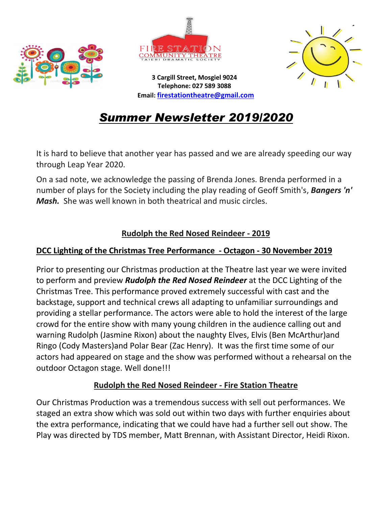





**3 Cargill Street, Mosgiel 9024 Telephone: 027 589 3088 Email: [firestationtheatre@gmail.com](mailto:firestationtheatre@gmail.com)**

## *Summer Newsletter 2019/2020*

It is hard to believe that another year has passed and we are already speeding our way through Leap Year 2020.

On a sad note, we acknowledge the passing of Brenda Jones. Brenda performed in a number of plays for the Society including the play reading of Geoff Smith's, *Bangers 'n' Mash.* She was well known in both theatrical and music circles.

#### **Rudolph the Red Nosed Reindeer - 2019**

#### **DCC Lighting of the Christmas Tree Performance - Octagon - 30 November 2019**

Prior to presenting our Christmas production at the Theatre last year we were invited to perform and preview *Rudolph the Red Nosed Reindeer* at the DCC Lighting of the Christmas Tree. This performance proved extremely successful with cast and the backstage, support and technical crews all adapting to unfamiliar surroundings and providing a stellar performance. The actors were able to hold the interest of the large crowd for the entire show with many young children in the audience calling out and warning Rudolph (Jasmine Rixon) about the naughty Elves, Elvis (Ben McArthur)and Ringo (Cody Masters)and Polar Bear (Zac Henry). It was the first time some of our actors had appeared on stage and the show was performed without a rehearsal on the outdoor Octagon stage. Well done!!!

#### **Rudolph the Red Nosed Reindeer - Fire Station Theatre**

Our Christmas Production was a tremendous success with sell out performances. We staged an extra show which was sold out within two days with further enquiries about the extra performance, indicating that we could have had a further sell out show. The Play was directed by TDS member, Matt Brennan, with Assistant Director, Heidi Rixon.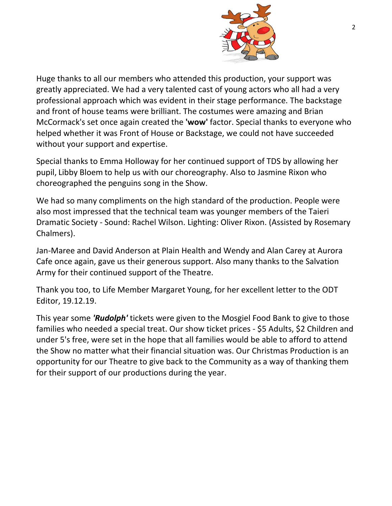

Huge thanks to all our members who attended this production, your support was greatly appreciated. We had a very talented cast of young actors who all had a very professional approach which was evident in their stage performance. The backstage and front of house teams were brilliant. The costumes were amazing and Brian McCormack's set once again created the **'wow'** factor. Special thanks to everyone who helped whether it was Front of House or Backstage, we could not have succeeded without your support and expertise.

Special thanks to Emma Holloway for her continued support of TDS by allowing her pupil, Libby Bloem to help us with our choreography. Also to Jasmine Rixon who choreographed the penguins song in the Show.

We had so many compliments on the high standard of the production. People were also most impressed that the technical team was younger members of the Taieri Dramatic Society - Sound: Rachel Wilson. Lighting: Oliver Rixon. (Assisted by Rosemary Chalmers).

Jan-Maree and David Anderson at Plain Health and Wendy and Alan Carey at Aurora Cafe once again, gave us their generous support. Also many thanks to the Salvation Army for their continued support of the Theatre.

Thank you too, to Life Member Margaret Young, for her excellent letter to the ODT Editor, 19.12.19.

This year some *'Rudolph'* tickets were given to the Mosgiel Food Bank to give to those families who needed a special treat. Our show ticket prices - \$5 Adults, \$2 Children and under 5's free, were set in the hope that all families would be able to afford to attend the Show no matter what their financial situation was. Our Christmas Production is an opportunity for our Theatre to give back to the Community as a way of thanking them for their support of our productions during the year.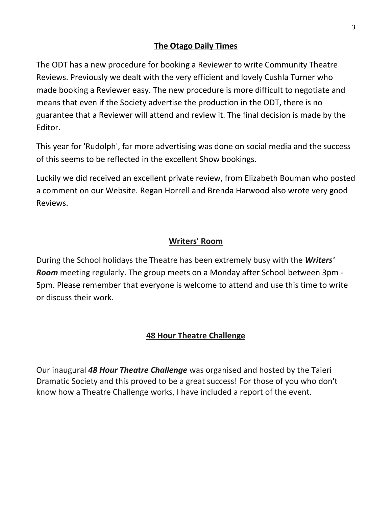#### **The Otago Daily Times**

The ODT has a new procedure for booking a Reviewer to write Community Theatre Reviews. Previously we dealt with the very efficient and lovely Cushla Turner who made booking a Reviewer easy. The new procedure is more difficult to negotiate and means that even if the Society advertise the production in the ODT, there is no guarantee that a Reviewer will attend and review it. The final decision is made by the Editor.

This year for 'Rudolph', far more advertising was done on social media and the success of this seems to be reflected in the excellent Show bookings.

Luckily we did received an excellent private review, from Elizabeth Bouman who posted a comment on our Website. Regan Horrell and Brenda Harwood also wrote very good Reviews.

#### **Writers' Room**

During the School holidays the Theatre has been extremely busy with the *Writers' Room* meeting regularly. The group meets on a Monday after School between 3pm - 5pm. Please remember that everyone is welcome to attend and use this time to write or discuss their work.

#### **48 Hour Theatre Challenge**

Our inaugural *48 Hour Theatre Challenge* was organised and hosted by the Taieri Dramatic Society and this proved to be a great success! For those of you who don't know how a Theatre Challenge works, I have included a report of the event.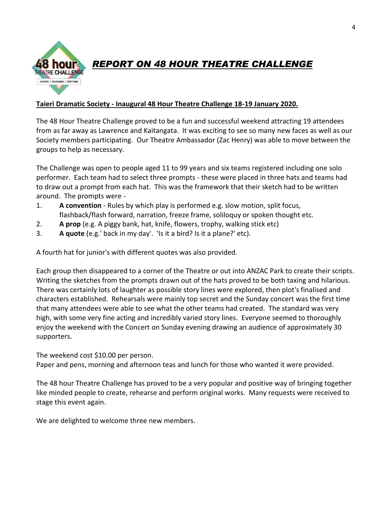

### *REPORT ON 48 HOUR THEATRE CHALLENGE*

#### **Taieri Dramatic Society - Inaugural 48 Hour Theatre Challenge 18-19 January 2020.**

The 48 Hour Theatre Challenge proved to be a fun and successful weekend attracting 19 attendees from as far away as Lawrence and Kaitangata. It was exciting to see so many new faces as well as our Society members participating. Our Theatre Ambassador (Zac Henry) was able to move between the groups to help as necessary.

The Challenge was open to people aged 11 to 99 years and six teams registered including one solo performer. Each team had to select three prompts - these were placed in three hats and teams had to draw out a prompt from each hat. This was the framework that their sketch had to be written around. The prompts were -

- 1. **A convention** Rules by which play is performed e.g. slow motion, split focus, flashback/flash forward, narration, freeze frame, soliloquy or spoken thought etc.
- 2. **A prop** (e.g. A piggy bank, hat, knife, flowers, trophy, walking stick etc)
- 3. **A quote** (e.g.' back in my day'. 'Is it a bird? Is it a plane?' etc).

A fourth hat for junior's with different quotes was also provided.

Each group then disappeared to a corner of the Theatre or out into ANZAC Park to create their scripts. Writing the sketches from the prompts drawn out of the hats proved to be both taxing and hilarious. There was certainly lots of laughter as possible story lines were explored, then plot's finalised and characters established. Rehearsals were mainly top secret and the Sunday concert was the first time that many attendees were able to see what the other teams had created. The standard was very high, with some very fine acting and incredibly varied story lines. Everyone seemed to thoroughly enjoy the weekend with the Concert on Sunday evening drawing an audience of approximately 30 supporters.

The weekend cost \$10.00 per person.

Paper and pens, morning and afternoon teas and lunch for those who wanted it were provided.

The 48 hour Theatre Challenge has proved to be a very popular and positive way of bringing together like minded people to create, rehearse and perform original works. Many requests were received to stage this event again.

We are delighted to welcome three new members.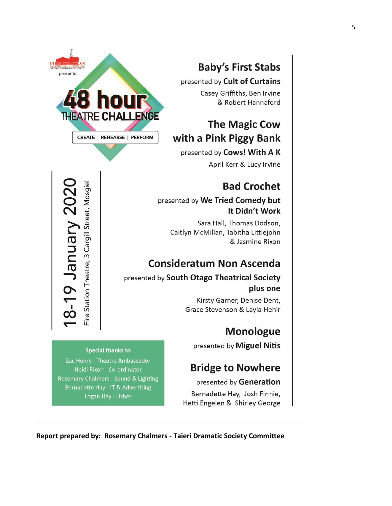

# **Baby's First Stabs**

presented by Cult of Curtains

Casey Griffiths, Ben Irvine & Robert Hannaford

### **The Magic Cow** with a Pink Piggy Bank

presented by Cows! With A K

April Kerr & Lucy Irvine

### **Bad Crochet**

#### presented by We Tried Comedy but It Didn't Work

Sara Hall, Thomas Dodson, Caitlyn McMillan, Tabitha Littlejohn & Jasmine Rixon

## **Consideratum Non Ascenda**

#### presented by South Otago Theatrical Society plus one

Kirsty Garner, Denise Dent, Grace Stevenson & Layla Hehir

### **Monologue**

presented by Miguel Nitis

### **Bridge to Nowhere**

presented by Generation

Bernadette Hay, Josh Finnie, Hetti Engelen & Shirley George

**Special thanks to** 

Fire Station Theatre, 3 Cargill Street, Mosgiel

19 January 202

、」<br>OC

Zac Henry - Theatre Ambassador Heidi Rixon - Co-ordinator Rosemary Chalmers - Sound & Lighting Bernadette Hay - IT & Advertising Logan Hay - Usher

**Report prepared by: Rosemary Chalmers - Taieri Dramatic Society Committee**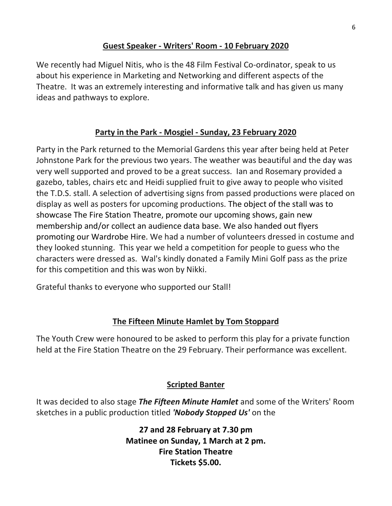#### **Guest Speaker - Writers' Room - 10 February 2020**

We recently had Miguel Nitis, who is the 48 Film Festival Co-ordinator, speak to us about his experience in Marketing and Networking and different aspects of the Theatre. It was an extremely interesting and informative talk and has given us many ideas and pathways to explore.

#### **Party in the Park - Mosgiel - Sunday, 23 February 2020**

Party in the Park returned to the Memorial Gardens this year after being held at Peter Johnstone Park for the previous two years. The weather was beautiful and the day was very well supported and proved to be a great success. Ian and Rosemary provided a gazebo, tables, chairs etc and Heidi supplied fruit to give away to people who visited the T.D.S. stall. A selection of advertising signs from passed productions were placed on display as well as posters for upcoming productions. The object of the stall was to showcase The Fire Station Theatre, promote our upcoming shows, gain new membership and/or collect an audience data base. We also handed out flyers promoting our Wardrobe Hire. We had a number of volunteers dressed in costume and they looked stunning. This year we held a competition for people to guess who the characters were dressed as. Wal's kindly donated a Family Mini Golf pass as the prize for this competition and this was won by Nikki.

Grateful thanks to everyone who supported our Stall!

#### **The Fifteen Minute Hamlet by Tom Stoppard**

The Youth Crew were honoured to be asked to perform this play for a private function held at the Fire Station Theatre on the 29 February. Their performance was excellent.

#### **Scripted Banter**

It was decided to also stage *The Fifteen Minute Hamlet* and some of the Writers' Room sketches in a public production titled *'Nobody Stopped Us'* on the

> **27 and 28 February at 7.30 pm Matinee on Sunday, 1 March at 2 pm. Fire Station Theatre Tickets \$5.00.**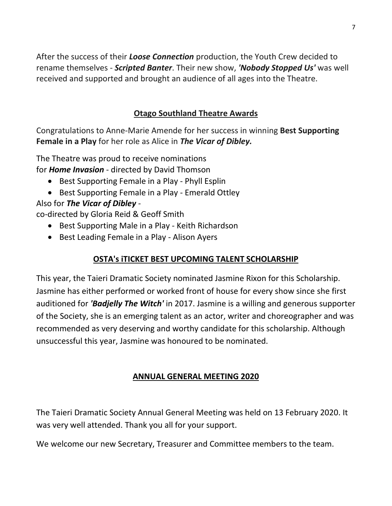After the success of their *Loose Connection* production, the Youth Crew decided to rename themselves - *Scripted Banter*. Their new show, *'Nobody Stopped Us'* was well received and supported and brought an audience of all ages into the Theatre.

#### **Otago Southland Theatre Awards**

Congratulations to Anne-Marie Amende for her success in winning **Best Supporting Female in a Play** for her role as Alice in *The Vicar of Dibley.*

The Theatre was proud to receive nominations for *Home Invasion* - directed by David Thomson

- Best Supporting Female in a Play Phyll Esplin
- Best Supporting Female in a Play Emerald Ottley

#### Also for *The Vicar of Dibley* -

co-directed by Gloria Reid & Geoff Smith

- Best Supporting Male in a Play Keith Richardson
- Best Leading Female in a Play Alison Ayers

#### **OSTA's iTICKET BEST UPCOMING TALENT SCHOLARSHIP**

This year, the Taieri Dramatic Society nominated Jasmine Rixon for this Scholarship. Jasmine has either performed or worked front of house for every show since she first auditioned for *'Badjelly The Witch'* in 2017. Jasmine is a willing and generous supporter of the Society, she is an emerging talent as an actor, writer and choreographer and was recommended as very deserving and worthy candidate for this scholarship. Although unsuccessful this year, Jasmine was honoured to be nominated.

#### **ANNUAL GENERAL MEETING 2020**

The Taieri Dramatic Society Annual General Meeting was held on 13 February 2020. It was very well attended. Thank you all for your support.

We welcome our new Secretary, Treasurer and Committee members to the team.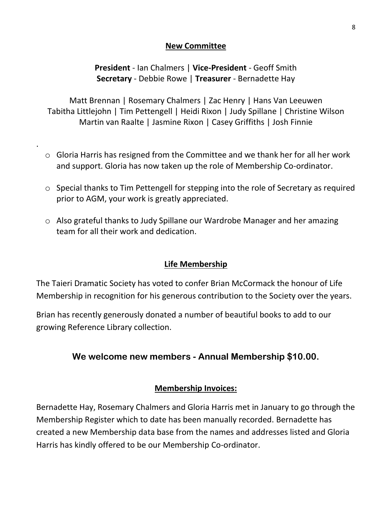#### **New Committee**

#### **President** - Ian Chalmers | **Vice-President** - Geoff Smith **Secretary** - Debbie Rowe | **Treasurer** - Bernadette Hay

Matt Brennan | Rosemary Chalmers | Zac Henry | Hans Van Leeuwen Tabitha Littlejohn | Tim Pettengell | Heidi Rixon | Judy Spillane | Christine Wilson Martin van Raalte | Jasmine Rixon | Casey Griffiths | Josh Finnie

o Gloria Harris has resigned from the Committee and we thank her for all her work and support. Gloria has now taken up the role of Membership Co-ordinator.

.

- o Special thanks to Tim Pettengell for stepping into the role of Secretary as required prior to AGM, your work is greatly appreciated.
- o Also grateful thanks to Judy Spillane our Wardrobe Manager and her amazing team for all their work and dedication.

#### **Life Membership**

The Taieri Dramatic Society has voted to confer Brian McCormack the honour of Life Membership in recognition for his generous contribution to the Society over the years.

Brian has recently generously donated a number of beautiful books to add to our growing Reference Library collection.

#### **We welcome new members - Annual Membership \$10.00.**

#### **Membership Invoices:**

Bernadette Hay, Rosemary Chalmers and Gloria Harris met in January to go through the Membership Register which to date has been manually recorded. Bernadette has created a new Membership data base from the names and addresses listed and Gloria Harris has kindly offered to be our Membership Co-ordinator.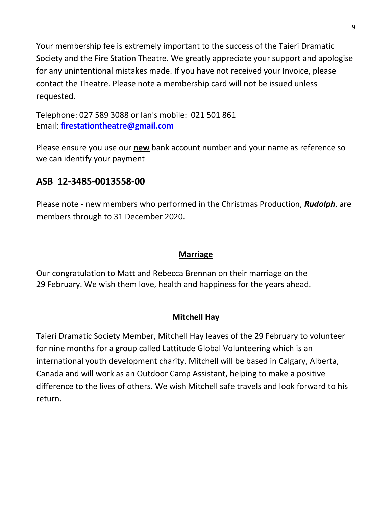Your membership fee is extremely important to the success of the Taieri Dramatic Society and the Fire Station Theatre. We greatly appreciate your support and apologise for any unintentional mistakes made. If you have not received your Invoice, please contact the Theatre. Please note a membership card will not be issued unless requested.

Telephone: 027 589 3088 or Ian's mobile: 021 501 861 Email: **[firestationtheatre@gmail.com](mailto:firestationtheatre@gmail.com)**

Please ensure you use our **new** bank account number and your name as reference so we can identify your payment

### **ASB 12-3485-0013558-00**

Please note - new members who performed in the Christmas Production, *Rudolph*, are members through to 31 December 2020.

#### **Marriage**

Our congratulation to Matt and Rebecca Brennan on their marriage on the 29 February. We wish them love, health and happiness for the years ahead.

#### **Mitchell Hay**

Taieri Dramatic Society Member, Mitchell Hay leaves of the 29 February to volunteer for nine months for a group called Lattitude Global Volunteering which is an international youth development charity. Mitchell will be based in Calgary, Alberta, Canada and will work as an Outdoor Camp Assistant, helping to make a positive difference to the lives of others. We wish Mitchell safe travels and look forward to his return.